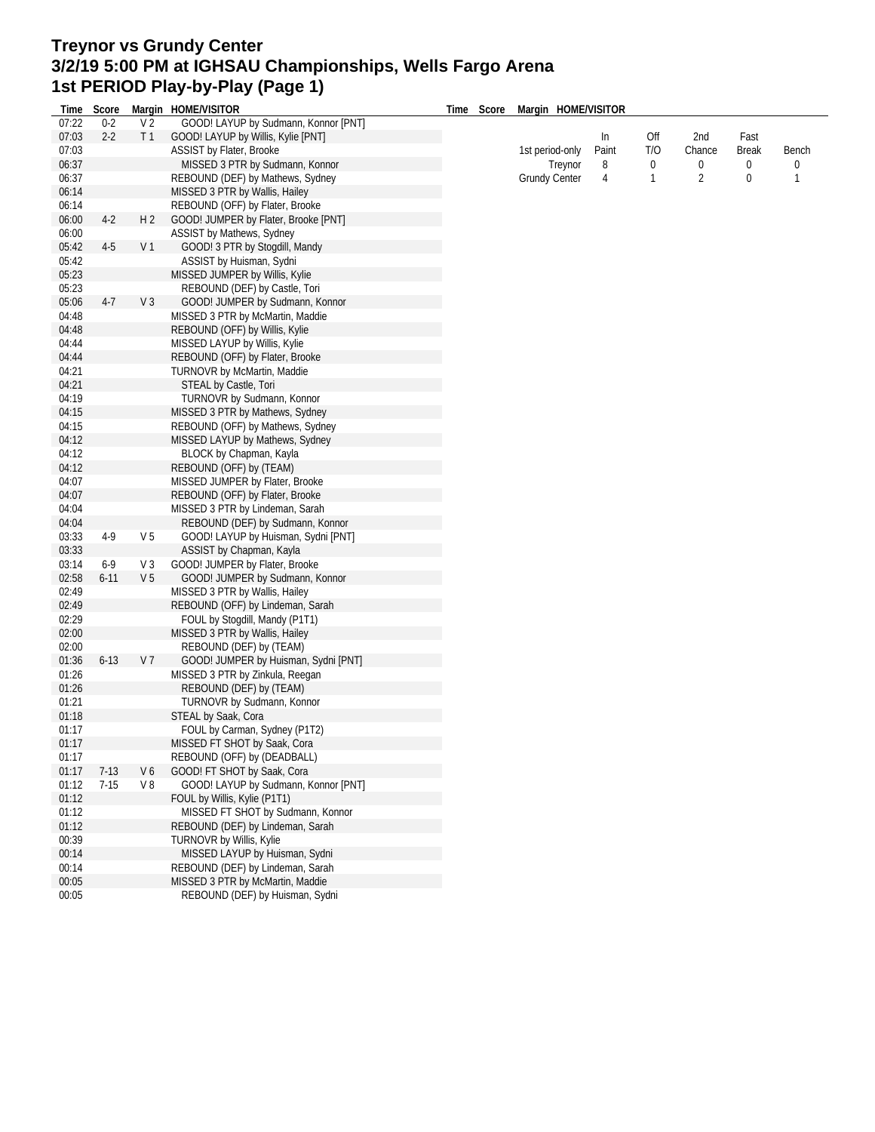## **Treynor vs Grundy Center 3/2/19 5:00 PM at IGHSAU Championships, Wells Fargo Arena 1st PERIOD Play-by-Play (Page 1)**

| Time  | Score    |                | Margin HOME/VISITOR                  | Time | Score | Margin HOME/VISITOR  |       |                  |                |              |              |
|-------|----------|----------------|--------------------------------------|------|-------|----------------------|-------|------------------|----------------|--------------|--------------|
| 07:22 | $0 - 2$  | V <sub>2</sub> | GOOD! LAYUP by Sudmann, Konnor [PNT] |      |       |                      |       |                  |                |              |              |
| 07:03 | $2 - 2$  | T <sub>1</sub> | GOOD! LAYUP by Willis, Kylie [PNT]   |      |       |                      | In    | Off              | 2nd            | Fast         |              |
| 07:03 |          |                | ASSIST by Flater, Brooke             |      |       | 1st period-only      | Paint | T/O              | Chance         | <b>Break</b> | Bench        |
| 06:37 |          |                | MISSED 3 PTR by Sudmann, Konnor      |      |       | Treynor              | 8     | $\boldsymbol{0}$ | 0              | 0            | 0            |
| 06:37 |          |                | REBOUND (DEF) by Mathews, Sydney     |      |       | <b>Grundy Center</b> | 4     | 1                | $\overline{2}$ | $\bf{0}$     | $\mathbf{1}$ |
| 06:14 |          |                | MISSED 3 PTR by Wallis, Hailey       |      |       |                      |       |                  |                |              |              |
| 06:14 |          |                | REBOUND (OFF) by Flater, Brooke      |      |       |                      |       |                  |                |              |              |
| 06:00 | $4-2$    | H <sub>2</sub> | GOOD! JUMPER by Flater, Brooke [PNT] |      |       |                      |       |                  |                |              |              |
| 06:00 |          |                | ASSIST by Mathews, Sydney            |      |       |                      |       |                  |                |              |              |
| 05:42 | $4-5$    | V <sub>1</sub> | GOOD! 3 PTR by Stogdill, Mandy       |      |       |                      |       |                  |                |              |              |
| 05:42 |          |                | ASSIST by Huisman, Sydni             |      |       |                      |       |                  |                |              |              |
| 05:23 |          |                | MISSED JUMPER by Willis, Kylie       |      |       |                      |       |                  |                |              |              |
| 05:23 |          |                | REBOUND (DEF) by Castle, Tori        |      |       |                      |       |                  |                |              |              |
| 05:06 | $4-7$    | V <sub>3</sub> | GOOD! JUMPER by Sudmann, Konnor      |      |       |                      |       |                  |                |              |              |
| 04:48 |          |                | MISSED 3 PTR by McMartin, Maddie     |      |       |                      |       |                  |                |              |              |
| 04:48 |          |                | REBOUND (OFF) by Willis, Kylie       |      |       |                      |       |                  |                |              |              |
| 04:44 |          |                | MISSED LAYUP by Willis, Kylie        |      |       |                      |       |                  |                |              |              |
| 04:44 |          |                | REBOUND (OFF) by Flater, Brooke      |      |       |                      |       |                  |                |              |              |
| 04:21 |          |                | TURNOVR by McMartin, Maddie          |      |       |                      |       |                  |                |              |              |
| 04:21 |          |                | STEAL by Castle, Tori                |      |       |                      |       |                  |                |              |              |
| 04:19 |          |                | TURNOVR by Sudmann, Konnor           |      |       |                      |       |                  |                |              |              |
| 04:15 |          |                | MISSED 3 PTR by Mathews, Sydney      |      |       |                      |       |                  |                |              |              |
| 04:15 |          |                | REBOUND (OFF) by Mathews, Sydney     |      |       |                      |       |                  |                |              |              |
| 04:12 |          |                | MISSED LAYUP by Mathews, Sydney      |      |       |                      |       |                  |                |              |              |
| 04:12 |          |                | BLOCK by Chapman, Kayla              |      |       |                      |       |                  |                |              |              |
| 04:12 |          |                | REBOUND (OFF) by (TEAM)              |      |       |                      |       |                  |                |              |              |
| 04:07 |          |                | MISSED JUMPER by Flater, Brooke      |      |       |                      |       |                  |                |              |              |
| 04:07 |          |                | REBOUND (OFF) by Flater, Brooke      |      |       |                      |       |                  |                |              |              |
| 04:04 |          |                | MISSED 3 PTR by Lindeman, Sarah      |      |       |                      |       |                  |                |              |              |
| 04:04 |          |                | REBOUND (DEF) by Sudmann, Konnor     |      |       |                      |       |                  |                |              |              |
| 03:33 | 4-9      | V <sub>5</sub> | GOOD! LAYUP by Huisman, Sydni [PNT]  |      |       |                      |       |                  |                |              |              |
| 03:33 |          |                | ASSIST by Chapman, Kayla             |      |       |                      |       |                  |                |              |              |
| 03:14 | $6-9$    | V3             | GOOD! JUMPER by Flater, Brooke       |      |       |                      |       |                  |                |              |              |
| 02:58 | $6 - 11$ | V <sub>5</sub> | GOOD! JUMPER by Sudmann, Konnor      |      |       |                      |       |                  |                |              |              |
| 02:49 |          |                | MISSED 3 PTR by Wallis, Hailey       |      |       |                      |       |                  |                |              |              |
| 02:49 |          |                | REBOUND (OFF) by Lindeman, Sarah     |      |       |                      |       |                  |                |              |              |
| 02:29 |          |                | FOUL by Stogdill, Mandy (P1T1)       |      |       |                      |       |                  |                |              |              |
| 02:00 |          |                | MISSED 3 PTR by Wallis, Hailey       |      |       |                      |       |                  |                |              |              |
| 02:00 |          |                | REBOUND (DEF) by (TEAM)              |      |       |                      |       |                  |                |              |              |
| 01:36 | $6 - 13$ | V <sub>7</sub> | GOOD! JUMPER by Huisman, Sydni [PNT] |      |       |                      |       |                  |                |              |              |
| 01:26 |          |                | MISSED 3 PTR by Zinkula, Reegan      |      |       |                      |       |                  |                |              |              |
| 01:26 |          |                | REBOUND (DEF) by (TEAM)              |      |       |                      |       |                  |                |              |              |
| 01:21 |          |                | TURNOVR by Sudmann, Konnor           |      |       |                      |       |                  |                |              |              |
| 01:18 |          |                | STEAL by Saak, Cora                  |      |       |                      |       |                  |                |              |              |
| 01:17 |          |                | FOUL by Carman, Sydney (P1T2)        |      |       |                      |       |                  |                |              |              |
| 01:17 |          |                | MISSED FT SHOT by Saak, Cora         |      |       |                      |       |                  |                |              |              |
| 01:17 |          |                | REBOUND (OFF) by (DEADBALL)          |      |       |                      |       |                  |                |              |              |
| 01:17 | $7-13$   | V6             | GOOD! FT SHOT by Saak, Cora          |      |       |                      |       |                  |                |              |              |
| 01:12 | $7-15$   | V8             | GOOD! LAYUP by Sudmann, Konnor [PNT] |      |       |                      |       |                  |                |              |              |
| 01:12 |          |                | FOUL by Willis, Kylie (P1T1)         |      |       |                      |       |                  |                |              |              |
| 01:12 |          |                | MISSED FT SHOT by Sudmann, Konnor    |      |       |                      |       |                  |                |              |              |
| 01:12 |          |                | REBOUND (DEF) by Lindeman, Sarah     |      |       |                      |       |                  |                |              |              |
| 00:39 |          |                | TURNOVR by Willis, Kylie             |      |       |                      |       |                  |                |              |              |
| 00:14 |          |                | MISSED LAYUP by Huisman, Sydni       |      |       |                      |       |                  |                |              |              |
| 00:14 |          |                | REBOUND (DEF) by Lindeman, Sarah     |      |       |                      |       |                  |                |              |              |
| 00:05 |          |                | MISSED 3 PTR by McMartin, Maddie     |      |       |                      |       |                  |                |              |              |
| 00:05 |          |                | REBOUND (DEF) by Huisman, Sydni      |      |       |                      |       |                  |                |              |              |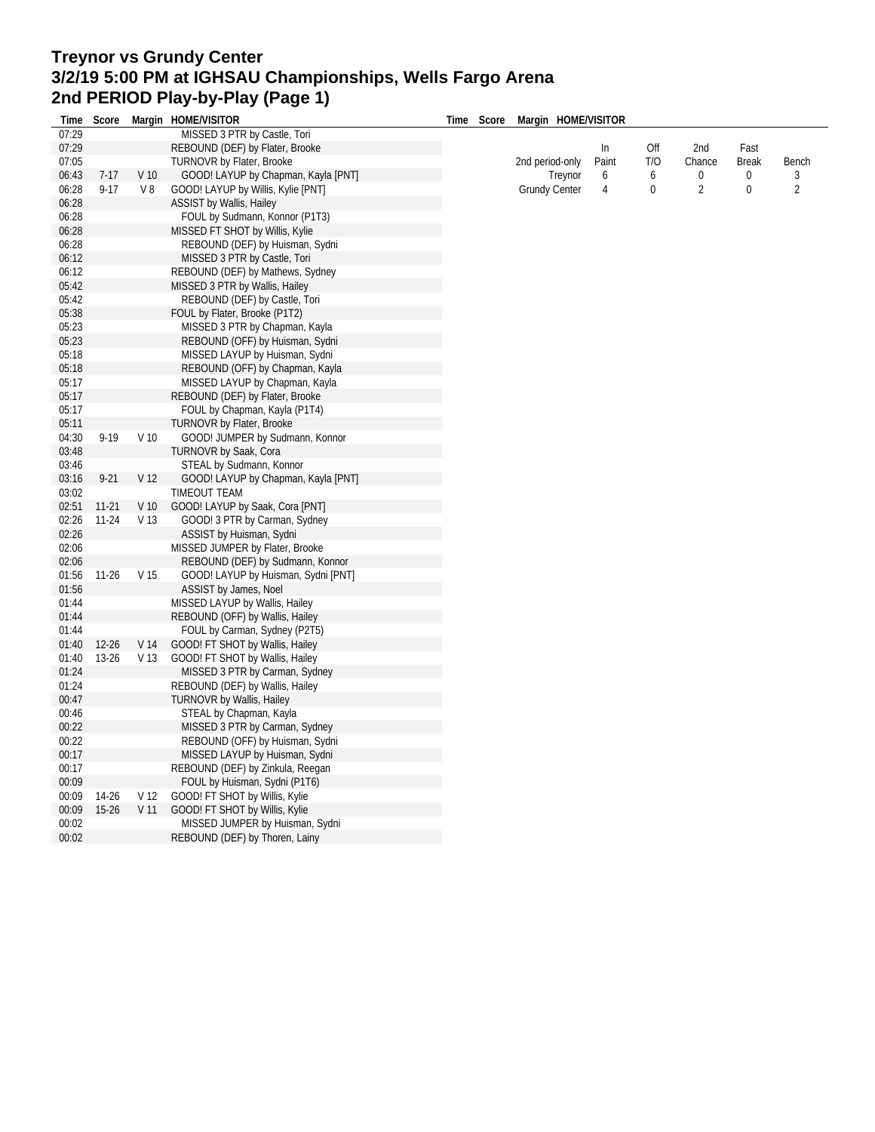## **Treynor vs Grundy Center 3/2/19 5:00 PM at IGHSAU Championships, Wells Fargo Arena 2nd PERIOD Play-by-Play (Page 1) Time Score Margin HOME/VISITOR**

| Time  | Score     |                 | Margin HOME/VISITOR                 | Time | Score | Margin HOME/VISITOR  |       |              |                |              |                |
|-------|-----------|-----------------|-------------------------------------|------|-------|----------------------|-------|--------------|----------------|--------------|----------------|
| 07:29 |           |                 | MISSED 3 PTR by Castle, Tori        |      |       |                      |       |              |                |              |                |
| 07:29 |           |                 | REBOUND (DEF) by Flater, Brooke     |      |       |                      | In    | Off          | 2nd            | Fast         |                |
| 07:05 |           |                 | <b>TURNOVR by Flater, Brooke</b>    |      |       | 2nd period-only      | Paint | T/O          | Chance         | <b>Break</b> | Bench          |
| 06:43 | $7-17$    | V <sub>10</sub> | GOOD! LAYUP by Chapman, Kayla [PNT] |      |       | Treynor              | 6     | 6            | 0              | 0            | 3              |
| 06:28 | $9 - 17$  | V8              | GOOD! LAYUP by Willis, Kylie [PNT]  |      |       | <b>Grundy Center</b> | 4     | $\mathbf{0}$ | $\overline{2}$ | $\mathbf{0}$ | $\overline{2}$ |
| 06:28 |           |                 | ASSIST by Wallis, Hailey            |      |       |                      |       |              |                |              |                |
| 06:28 |           |                 | FOUL by Sudmann, Konnor (P1T3)      |      |       |                      |       |              |                |              |                |
| 06:28 |           |                 | MISSED FT SHOT by Willis, Kylie     |      |       |                      |       |              |                |              |                |
| 06:28 |           |                 | REBOUND (DEF) by Huisman, Sydni     |      |       |                      |       |              |                |              |                |
| 06:12 |           |                 | MISSED 3 PTR by Castle, Tori        |      |       |                      |       |              |                |              |                |
| 06:12 |           |                 | REBOUND (DEF) by Mathews, Sydney    |      |       |                      |       |              |                |              |                |
| 05:42 |           |                 | MISSED 3 PTR by Wallis, Hailey      |      |       |                      |       |              |                |              |                |
| 05:42 |           |                 | REBOUND (DEF) by Castle, Tori       |      |       |                      |       |              |                |              |                |
| 05:38 |           |                 | FOUL by Flater, Brooke (P1T2)       |      |       |                      |       |              |                |              |                |
|       |           |                 |                                     |      |       |                      |       |              |                |              |                |
| 05:23 |           |                 | MISSED 3 PTR by Chapman, Kayla      |      |       |                      |       |              |                |              |                |
| 05:23 |           |                 | REBOUND (OFF) by Huisman, Sydni     |      |       |                      |       |              |                |              |                |
| 05:18 |           |                 | MISSED LAYUP by Huisman, Sydni      |      |       |                      |       |              |                |              |                |
| 05:18 |           |                 | REBOUND (OFF) by Chapman, Kayla     |      |       |                      |       |              |                |              |                |
| 05:17 |           |                 | MISSED LAYUP by Chapman, Kayla      |      |       |                      |       |              |                |              |                |
| 05:17 |           |                 | REBOUND (DEF) by Flater, Brooke     |      |       |                      |       |              |                |              |                |
| 05:17 |           |                 | FOUL by Chapman, Kayla (P1T4)       |      |       |                      |       |              |                |              |                |
| 05:11 |           |                 | <b>TURNOVR by Flater, Brooke</b>    |      |       |                      |       |              |                |              |                |
| 04:30 | $9 - 19$  | $V$ 10          | GOOD! JUMPER by Sudmann, Konnor     |      |       |                      |       |              |                |              |                |
| 03:48 |           |                 | TURNOVR by Saak, Cora               |      |       |                      |       |              |                |              |                |
| 03:46 |           |                 | STEAL by Sudmann, Konnor            |      |       |                      |       |              |                |              |                |
| 03:16 | $9 - 21$  | V <sub>12</sub> | GOOD! LAYUP by Chapman, Kayla [PNT] |      |       |                      |       |              |                |              |                |
| 03:02 |           |                 | TIMEOUT TEAM                        |      |       |                      |       |              |                |              |                |
| 02:51 | $11 - 21$ | V <sub>10</sub> | GOOD! LAYUP by Saak, Cora [PNT]     |      |       |                      |       |              |                |              |                |
| 02:26 | 11-24     | V <sub>13</sub> | GOOD! 3 PTR by Carman, Sydney       |      |       |                      |       |              |                |              |                |
| 02:26 |           |                 | ASSIST by Huisman, Sydni            |      |       |                      |       |              |                |              |                |
| 02:06 |           |                 | MISSED JUMPER by Flater, Brooke     |      |       |                      |       |              |                |              |                |
| 02:06 |           |                 | REBOUND (DEF) by Sudmann, Konnor    |      |       |                      |       |              |                |              |                |
| 01:56 | $11-26$   | V 15            | GOOD! LAYUP by Huisman, Sydni [PNT] |      |       |                      |       |              |                |              |                |
| 01:56 |           |                 | <b>ASSIST by James, Noel</b>        |      |       |                      |       |              |                |              |                |
| 01:44 |           |                 | MISSED LAYUP by Wallis, Hailey      |      |       |                      |       |              |                |              |                |
| 01:44 |           |                 | REBOUND (OFF) by Wallis, Hailey     |      |       |                      |       |              |                |              |                |
| 01:44 |           |                 | FOUL by Carman, Sydney (P2T5)       |      |       |                      |       |              |                |              |                |
| 01:40 | $12 - 26$ | V 14            | GOOD! FT SHOT by Wallis, Hailey     |      |       |                      |       |              |                |              |                |
| 01:40 | 13-26     | V <sub>13</sub> | GOOD! FT SHOT by Wallis, Hailey     |      |       |                      |       |              |                |              |                |
| 01:24 |           |                 | MISSED 3 PTR by Carman, Sydney      |      |       |                      |       |              |                |              |                |
| 01:24 |           |                 |                                     |      |       |                      |       |              |                |              |                |
|       |           |                 | REBOUND (DEF) by Wallis, Hailey     |      |       |                      |       |              |                |              |                |
| 00:47 |           |                 | <b>TURNOVR by Wallis, Hailey</b>    |      |       |                      |       |              |                |              |                |
| 00:46 |           |                 | STEAL by Chapman, Kayla             |      |       |                      |       |              |                |              |                |
| 00:22 |           |                 | MISSED 3 PTR by Carman, Sydney      |      |       |                      |       |              |                |              |                |
| 00:22 |           |                 | REBOUND (OFF) by Huisman, Sydni     |      |       |                      |       |              |                |              |                |
| 00:17 |           |                 | MISSED LAYUP by Huisman, Sydni      |      |       |                      |       |              |                |              |                |
| 00:17 |           |                 | REBOUND (DEF) by Zinkula, Reegan    |      |       |                      |       |              |                |              |                |
| 00:09 |           |                 | FOUL by Huisman, Sydni (P1T6)       |      |       |                      |       |              |                |              |                |
| 00:09 | 14-26     | V <sub>12</sub> | GOOD! FT SHOT by Willis, Kylie      |      |       |                      |       |              |                |              |                |
| 00:09 | $15 - 26$ | V <sub>11</sub> | GOOD! FT SHOT by Willis, Kylie      |      |       |                      |       |              |                |              |                |
| 00:02 |           |                 | MISSED JUMPER by Huisman, Sydni     |      |       |                      |       |              |                |              |                |
| 00:02 |           |                 | REBOUND (DEF) by Thoren, Lainy      |      |       |                      |       |              |                |              |                |
|       |           |                 |                                     |      |       |                      |       |              |                |              |                |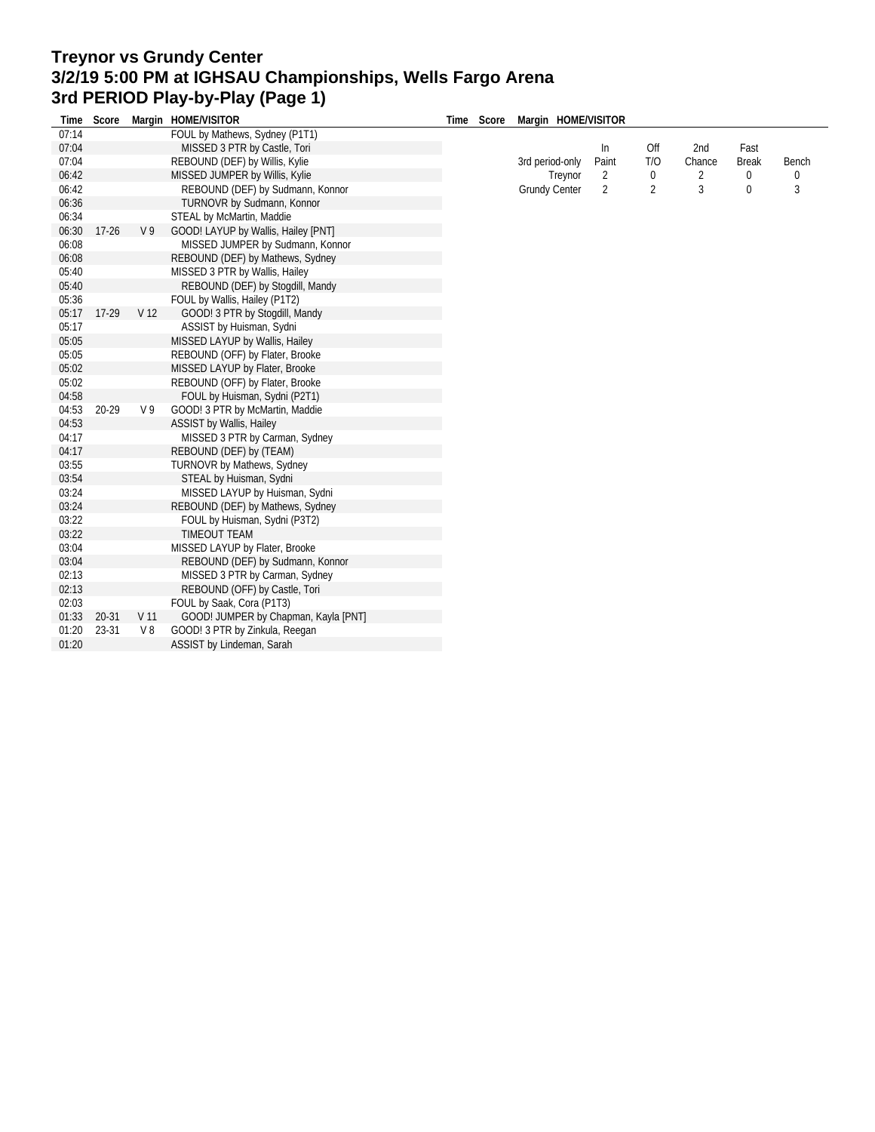## **Treynor vs Grundy Center 3/2/19 5:00 PM at IGHSAU Championships, Wells Fargo Arena 3rd PERIOD Play-by-Play (Page 1) Time Score Margin HOME/VISITOR**

| Time  | Score     |                 | Margin HOME/VISITOR                  | Time | Score | Margin HOME/VISITOR  |       |                |        |              |       |
|-------|-----------|-----------------|--------------------------------------|------|-------|----------------------|-------|----------------|--------|--------------|-------|
| 07:14 |           |                 | FOUL by Mathews, Sydney (P1T1)       |      |       |                      |       |                |        |              |       |
| 07:04 |           |                 | MISSED 3 PTR by Castle, Tori         |      |       |                      | In    | Off            | 2nd    | Fast         |       |
| 07:04 |           |                 | REBOUND (DEF) by Willis, Kylie       |      |       | 3rd period-only      | Paint | T/O            | Chance | <b>Break</b> | Bench |
| 06:42 |           |                 | MISSED JUMPER by Willis, Kylie       |      |       | Treynor              | 2     | 0              | 2      | 0            | 0     |
| 06:42 |           |                 | REBOUND (DEF) by Sudmann, Konnor     |      |       | <b>Grundy Center</b> | 2     | $\overline{2}$ | 3      | $\mathbf 0$  | 3     |
| 06:36 |           |                 | TURNOVR by Sudmann, Konnor           |      |       |                      |       |                |        |              |       |
| 06:34 |           |                 | STEAL by McMartin, Maddie            |      |       |                      |       |                |        |              |       |
| 06:30 | $17-26$   | V <sub>9</sub>  | GOOD! LAYUP by Wallis, Hailey [PNT]  |      |       |                      |       |                |        |              |       |
| 06:08 |           |                 | MISSED JUMPER by Sudmann, Konnor     |      |       |                      |       |                |        |              |       |
| 06:08 |           |                 | REBOUND (DEF) by Mathews, Sydney     |      |       |                      |       |                |        |              |       |
| 05:40 |           |                 | MISSED 3 PTR by Wallis, Hailey       |      |       |                      |       |                |        |              |       |
| 05:40 |           |                 | REBOUND (DEF) by Stogdill, Mandy     |      |       |                      |       |                |        |              |       |
| 05:36 |           |                 | FOUL by Wallis, Hailey (P1T2)        |      |       |                      |       |                |        |              |       |
| 05:17 | $17-29$   | V <sub>12</sub> | GOOD! 3 PTR by Stogdill, Mandy       |      |       |                      |       |                |        |              |       |
| 05:17 |           |                 | ASSIST by Huisman, Sydni             |      |       |                      |       |                |        |              |       |
| 05:05 |           |                 | MISSED LAYUP by Wallis, Hailey       |      |       |                      |       |                |        |              |       |
| 05:05 |           |                 | REBOUND (OFF) by Flater, Brooke      |      |       |                      |       |                |        |              |       |
| 05:02 |           |                 | MISSED LAYUP by Flater, Brooke       |      |       |                      |       |                |        |              |       |
| 05:02 |           |                 | REBOUND (OFF) by Flater, Brooke      |      |       |                      |       |                |        |              |       |
| 04:58 |           |                 | FOUL by Huisman, Sydni (P2T1)        |      |       |                      |       |                |        |              |       |
| 04:53 | 20-29     | V <sub>9</sub>  | GOOD! 3 PTR by McMartin, Maddie      |      |       |                      |       |                |        |              |       |
| 04:53 |           |                 | <b>ASSIST by Wallis, Hailey</b>      |      |       |                      |       |                |        |              |       |
| 04:17 |           |                 | MISSED 3 PTR by Carman, Sydney       |      |       |                      |       |                |        |              |       |
| 04:17 |           |                 | REBOUND (DEF) by (TEAM)              |      |       |                      |       |                |        |              |       |
| 03:55 |           |                 | TURNOVR by Mathews, Sydney           |      |       |                      |       |                |        |              |       |
| 03:54 |           |                 | STEAL by Huisman, Sydni              |      |       |                      |       |                |        |              |       |
| 03:24 |           |                 | MISSED LAYUP by Huisman, Sydni       |      |       |                      |       |                |        |              |       |
| 03:24 |           |                 | REBOUND (DEF) by Mathews, Sydney     |      |       |                      |       |                |        |              |       |
| 03:22 |           |                 | FOUL by Huisman, Sydni (P3T2)        |      |       |                      |       |                |        |              |       |
| 03:22 |           |                 | <b>TIMEOUT TEAM</b>                  |      |       |                      |       |                |        |              |       |
| 03:04 |           |                 | MISSED LAYUP by Flater, Brooke       |      |       |                      |       |                |        |              |       |
| 03:04 |           |                 | REBOUND (DEF) by Sudmann, Konnor     |      |       |                      |       |                |        |              |       |
| 02:13 |           |                 | MISSED 3 PTR by Carman, Sydney       |      |       |                      |       |                |        |              |       |
| 02:13 |           |                 | REBOUND (OFF) by Castle, Tori        |      |       |                      |       |                |        |              |       |
| 02:03 |           |                 | FOUL by Saak, Cora (P1T3)            |      |       |                      |       |                |        |              |       |
| 01:33 | $20 - 31$ | V <sub>11</sub> | GOOD! JUMPER by Chapman, Kayla [PNT] |      |       |                      |       |                |        |              |       |
| 01:20 | 23-31     | V8              | GOOD! 3 PTR by Zinkula, Reegan       |      |       |                      |       |                |        |              |       |
| 01:20 |           |                 | ASSIST by Lindeman, Sarah            |      |       |                      |       |                |        |              |       |
|       |           |                 |                                      |      |       |                      |       |                |        |              |       |